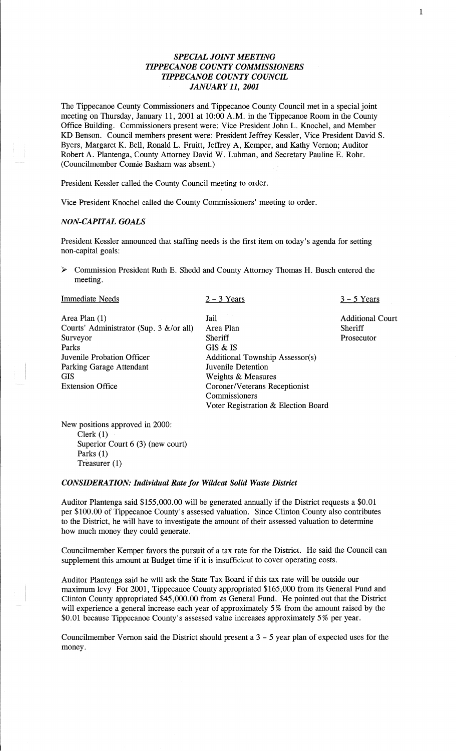# *SPECIAL JOINT MEETING TIPPECANOE COUNTY COMMISSIONERS T IPPECANOE COUNTY COUNCIL JANUARY* 11, *2001*

 $\mathbf{1}$ 

The Tippecanoe County Commissioners and Tippecanoe County Council met in a special **joint**  meeting on Thursday, January 11, 2001 at 10:00 A.M. in the Tippecanoe Room in the County Office Building. Commissioners present were: Vice President John L. Knochel, and Member KD Benson. Council members present were: President Jeffrey Kessler, Vice **President David** S. Byers, Margaret K. Bell, Ronald L. Fruitt, Jeffrey A, Kemper, and Kathy Vernon; Auditor Robert A. Plantenga, County Attorney **David** W. Luhman, and Secretary Pauline E. Rohr. (Councilmember Connie Basham was absent.)

President Kessler called the County Council meeting to order.

Vice President Knochel called the County Commissioners' meeting to order.

#### *NON-CAPITAL GOALS*

President Kessler **announced that** staffing needs is the first item on today's **agenda** for setting non-capital goals:

> Commission President Ruth E. Shedd and County Attorney **Thomas** H. **Busch** entered the meeting.

| <b>Immediate Needs</b>                                                                          | $2 - 3$ Years                                                                                                                                                               | $3 - 5$ Years                                    |
|-------------------------------------------------------------------------------------------------|-----------------------------------------------------------------------------------------------------------------------------------------------------------------------------|--------------------------------------------------|
| Area Plan $(1)$<br>Courts' Administrator (Sup. 3 $\&$ /or all)<br>Surveyor<br>Parks             | Jail<br>Area Plan<br>Sheriff<br>GIS & IS                                                                                                                                    | <b>Additional Court</b><br>Sheriff<br>Prosecutor |
| Juvenile Probation Officer<br>Parking Garage Attendant<br><b>GIS</b><br><b>Extension Office</b> | <b>Additional Township Assessor(s)</b><br>Juvenile Detention<br>Weights & Measures<br>Coroner/Veterans Receptionist<br>Commissioners<br>Voter Registration & Election Board |                                                  |

New positions approved in 2000: Clerk (1) Superior Court 6 (3) (new court) Parks (1) Treasurer (1)

#### *CONSIDERATION: Individual Rate* for *Wildcat Solid Waste District*

Auditor Plantenga said \$155,000.00 will be generated annually if the District requests **a** \$0.01 per \$100.00 of Tippecanoe County's assessed valuation. Since Clinton County also contributes to the District, he will have to investigate the amount of their assessed valuation to determine how much money they could generate.

Councilmember Kemper favors the pursuit of a tax rate for the District. He said the Council can supplement this amount at Budget **time** if it is insufficient to cover operating costs.

Auditor Plantenga said he will ask the State Tax Board if **this** tax rate will be outside our **maximum** levy For 2001, Tippecanoe County appropriated \$165,000 from its General Fund and Clinton County appropriated \$45,000.00 from its General Fund. He pointed out that the District will experience a general increase each year of approximately 5% from the amount raised by the \$0.01 because Tippecanoe County's assessed value increases approximately 5% per year.

Councilmember **Vernon** said the District should present a 3 — 5 year plan of expected uses for the money.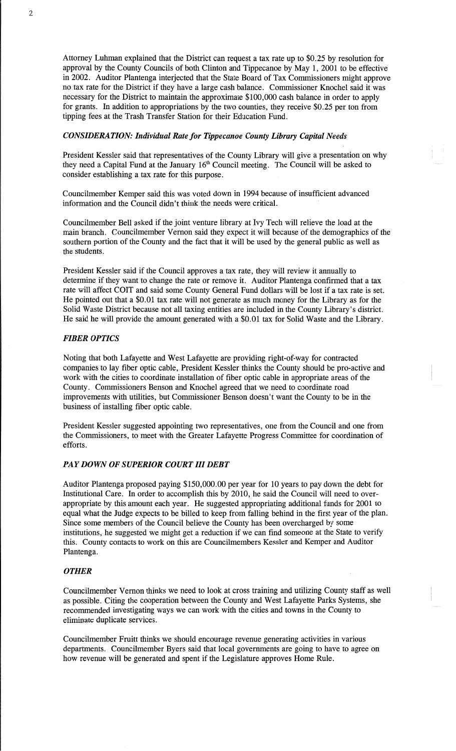Attorney Luhman explained that the District can request a tax rate up to \$0.25 by resolution for approval by the County Councils of both Clinton and Tippecanoe by May 1, 2001 to be effective in 2002. Auditor Plantenga interjected **that** the State Board of Tax Commissioners might approve no tax rate for the District if they have a large cash balance. Commissioner Knochel said it was necessary for the District to maintain the approximate \$100,000 cash balance in order to apply for grants. In addition to appropriations by the two counties, they receive \$0.25 per ton from tipping **fees** at the Trash Transfer Station for their Education **Fund.** 

## *CONSIDERATION: Individual Rate* for *Tippecanoe County Library Capital Needs*

President Kessler **said** that representatives of the County Library will give **a** presentation on why they need a Capital Fund at the January 16'h Council meeting. The Council will be asked to consider establishing a tax rate for **this** purpose.

Councilmember Kemper said this was voted down in 1994 because of insufficient **advanced**  information and the Council didn't think the **needs** were critical. '

Councilmember Bell asked if the **joint** venture library at Ivy **Tech** will relieve the load at the main branch. Councilmember Vernon said they expect it will because of the demographics of the southern portion of the County and the fact that it will be used by the general public as well as the students.

President Kessler said if the Council approves **a** tax rate, they will review it annually to determine if they want to **change** the rate or remove it. Auditor Plantenga confirmed **that** a tax rate will affect COIT and **said** some County General Fund dollars will be lost if a tax rate is set. He pointed out that a \$0.01 tax rate will not generate as much money for the Library as for the Solid Waste District because not all taxing entities are included in the County Library's district. He said he will provide the amount generated with a \$0.01 tax for Solid Waste and the Library.

### *FIBER OPTICS*

Noting that both Lafayette and West Lafayette are providing right-of-way for contracted companies to lay fiber optic cable, President Kessler thinks the County should be pro-active and work with the cities to coordinate installation of fiber optic cable in appropriate areas of the County. Commissioners **Benson** and Knochel agreed that we need to coordinate road improvements with utilities, but Commissioner Benson doesn't want the County to be in the business of installing fiber optic cable.

President Kessler suggested appointing two representatives, one from the Council and one from the Commissioners, to meet with the Greater Lafayette Progress Committee for coordination of efforts.

## PAY *DOWN* 0F *SUPERIOR COURT* III *DEBT*

Auditor Plantenga proposed paying \$150,000.00 per year for 10 years to pay down the debt for Institutional Care. In order to accomplish this by 2010, he said the **Council** will need to over appropriate by this **amount** each year. He suggested appropriating additional funds for 2001 to equal what the Judge expects to be billed to keep from falling behind in the first year of the plan. Since some members of the Council believe the County has been overcharged by some institutions, he suggested we might get a reduction if we can find someone at the State to verify this. County contacts to work on this are Councilmembers Kessler and Kemper and Auditor Plantenga.

#### *OTHER*

Councilmember Vernon **thinks** we need to look at cross training and utilizing County staff as well as possible. Citing the cooperation between the County and West Lafayette **Parks** Systems, she recommended investigating ways we can work with the cities and towns in the County to eliminate duplicate services.

Councilmember Fruitt thinks we **should** encourage revenue generating activities in various departments. Councilmember Byers **said that** local governments are going to **have** to agree on how revenue will be generated and spent if the Legislature approves Home Rule.